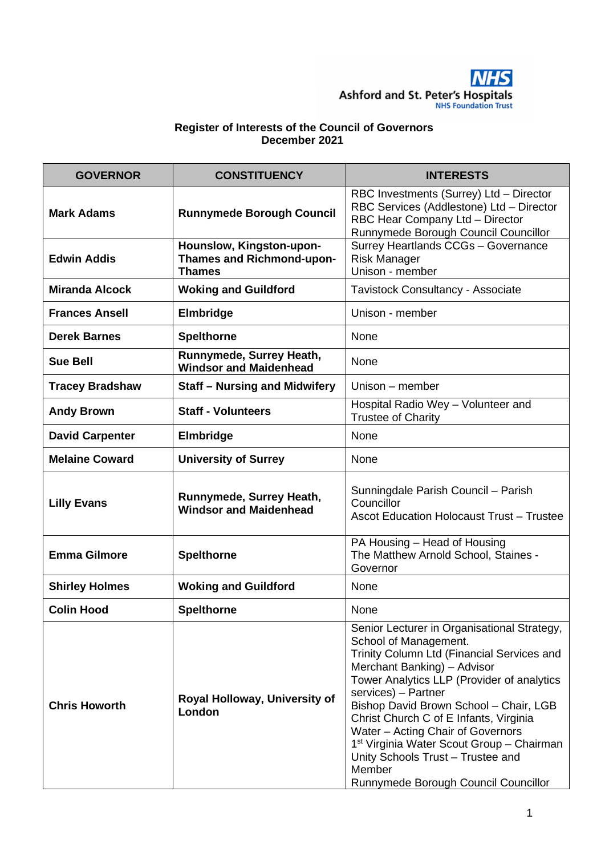

## **Register of Interests of the Council of Governors December 2021**

| <b>GOVERNOR</b>        | <b>CONSTITUENCY</b>                                                           | <b>INTERESTS</b>                                                                                                                                                                                                                                                                                                                                                                                                                                                                                |
|------------------------|-------------------------------------------------------------------------------|-------------------------------------------------------------------------------------------------------------------------------------------------------------------------------------------------------------------------------------------------------------------------------------------------------------------------------------------------------------------------------------------------------------------------------------------------------------------------------------------------|
| <b>Mark Adams</b>      | <b>Runnymede Borough Council</b>                                              | RBC Investments (Surrey) Ltd - Director<br>RBC Services (Addlestone) Ltd - Director<br>RBC Hear Company Ltd - Director<br>Runnymede Borough Council Councillor                                                                                                                                                                                                                                                                                                                                  |
| <b>Edwin Addis</b>     | Hounslow, Kingston-upon-<br><b>Thames and Richmond-upon-</b><br><b>Thames</b> | Surrey Heartlands CCGs - Governance<br><b>Risk Manager</b><br>Unison - member                                                                                                                                                                                                                                                                                                                                                                                                                   |
| <b>Miranda Alcock</b>  | <b>Woking and Guildford</b>                                                   | Tavistock Consultancy - Associate                                                                                                                                                                                                                                                                                                                                                                                                                                                               |
| <b>Frances Ansell</b>  | Elmbridge                                                                     | Unison - member                                                                                                                                                                                                                                                                                                                                                                                                                                                                                 |
| <b>Derek Barnes</b>    | <b>Spelthorne</b>                                                             | None                                                                                                                                                                                                                                                                                                                                                                                                                                                                                            |
| <b>Sue Bell</b>        | Runnymede, Surrey Heath,<br><b>Windsor and Maidenhead</b>                     | None                                                                                                                                                                                                                                                                                                                                                                                                                                                                                            |
| <b>Tracey Bradshaw</b> | <b>Staff - Nursing and Midwifery</b>                                          | Unison – member                                                                                                                                                                                                                                                                                                                                                                                                                                                                                 |
| <b>Andy Brown</b>      | <b>Staff - Volunteers</b>                                                     | Hospital Radio Wey - Volunteer and<br><b>Trustee of Charity</b>                                                                                                                                                                                                                                                                                                                                                                                                                                 |
| <b>David Carpenter</b> | Elmbridge                                                                     | None                                                                                                                                                                                                                                                                                                                                                                                                                                                                                            |
| <b>Melaine Coward</b>  | <b>University of Surrey</b>                                                   | None                                                                                                                                                                                                                                                                                                                                                                                                                                                                                            |
| <b>Lilly Evans</b>     | Runnymede, Surrey Heath,<br><b>Windsor and Maidenhead</b>                     | Sunningdale Parish Council - Parish<br>Councillor<br><b>Ascot Education Holocaust Trust - Trustee</b>                                                                                                                                                                                                                                                                                                                                                                                           |
| <b>Emma Gilmore</b>    | <b>Spelthorne</b>                                                             | PA Housing - Head of Housing<br>The Matthew Arnold School, Staines -<br>Governor                                                                                                                                                                                                                                                                                                                                                                                                                |
| <b>Shirley Holmes</b>  | <b>Woking and Guildford</b>                                                   | None                                                                                                                                                                                                                                                                                                                                                                                                                                                                                            |
| <b>Colin Hood</b>      | <b>Spelthorne</b>                                                             | None                                                                                                                                                                                                                                                                                                                                                                                                                                                                                            |
| <b>Chris Howorth</b>   | Royal Holloway, University of<br>London                                       | Senior Lecturer in Organisational Strategy,<br>School of Management.<br>Trinity Column Ltd (Financial Services and<br>Merchant Banking) - Advisor<br>Tower Analytics LLP (Provider of analytics<br>services) - Partner<br>Bishop David Brown School - Chair, LGB<br>Christ Church C of E Infants, Virginia<br>Water - Acting Chair of Governors<br>1 <sup>st</sup> Virginia Water Scout Group - Chairman<br>Unity Schools Trust - Trustee and<br>Member<br>Runnymede Borough Council Councillor |